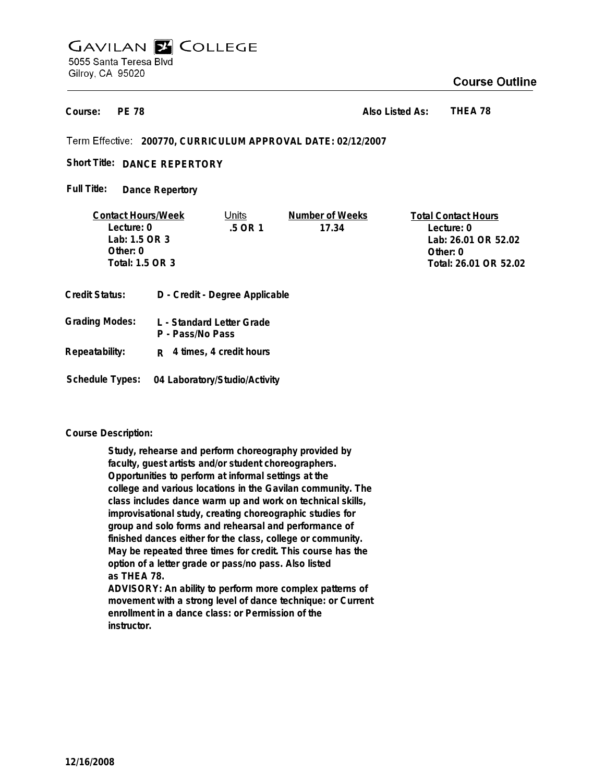## **GAVILAN E COLLEGE** 5055 Santa Teresa Blvd Gilroy, CA 95020

## **Course Outline**

**PE 78 Course:**

**Also Listed As: THEA 78**

**200770, CURRICULUM APPROVAL DATE: 02/12/2007**

Short Title: DANCE REPERTORY

**Dance Repertory Full Title:**

| <b>Contact Hours/Week</b> |  | Jnits                          | Number of Weeks | <b>Total Contact Hours</b> |  |
|---------------------------|--|--------------------------------|-----------------|----------------------------|--|
| Lecture: 0                |  | .5 OR 1                        | 17.34           | Lecture: 0                 |  |
| Lab: 1.5 OR 3             |  |                                |                 | Lab: 26.01 OR 52.02        |  |
| Other: $0$                |  |                                |                 | Other: $0$                 |  |
| Total: 1.5 OR 3           |  |                                |                 | Total: 26.01 OR 52.02      |  |
|                           |  |                                |                 |                            |  |
| Credit Status:            |  | D - Credit - Degree Applicable |                 |                            |  |

| Grading Modes: | L - Standard Letter Grade<br>P - Pass/No Pass |
|----------------|-----------------------------------------------|
| Repeatability: | $R$ 4 times, 4 credit hours                   |

**Schedule Types: 04 Laboratory/Studio/Activity**

## **Course Description:**

**Study, rehearse and perform choreography provided by faculty, guest artists and/or student choreographers. Opportunities to perform at informal settings at the college and various locations in the Gavilan community. The class includes dance warm up and work on technical skills, improvisational study, creating choreographic studies for group and solo forms and rehearsal and performance of finished dances either for the class, college or community. May be repeated three times for credit. This course has the option of a letter grade or pass/no pass. Also listed as THEA 78. ADVISORY: An ability to perform more complex patterns of**

**movement with a strong level of dance technique: or Current enrollment in a dance class: or Permission of the instructor.**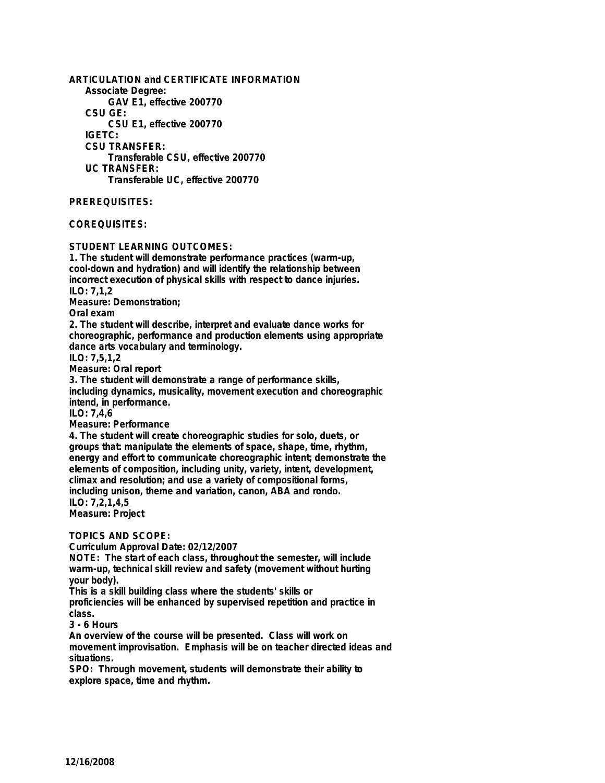**ARTICULATION and CERTIFICATE INFORMATION Associate Degree: GAV E1, effective 200770 CSU GE: CSU E1, effective 200770 IGETC: CSU TRANSFER: Transferable CSU, effective 200770 UC TRANSFER: Transferable UC, effective 200770 PREREQUISITES: COREQUISITES: STUDENT LEARNING OUTCOMES: 1. The student will demonstrate performance practices (warm-up, cool-down and hydration) and will identify the relationship between incorrect execution of physical skills with respect to dance injuries. ILO: 7,1,2 Measure: Demonstration; Oral exam 2. The student will describe, interpret and evaluate dance works for choreographic, performance and production elements using appropriate dance arts vocabulary and terminology. ILO: 7,5,1,2 Measure: Oral report 3. The student will demonstrate a range of performance skills, including dynamics, musicality, movement execution and choreographic intend, in performance. ILO: 7,4,6 Measure: Performance 4. The student will create choreographic studies for solo, duets, or groups that: manipulate the elements of space, shape, time, rhythm, energy and effort to communicate choreographic intent; demonstrate the elements of composition, including unity, variety, intent, development, climax and resolution; and use a variety of compositional forms, including unison, theme and variation, canon, ABA and rondo. ILO: 7,2,1,4,5 Measure: Project TOPICS AND SCOPE: Curriculum Approval Date: 02/12/2007 NOTE: The start of each class, throughout the semester, will include warm-up, technical skill review and safety (movement without hurting your body). This is a skill building class where the students' skills or proficiencies will be enhanced by supervised repetition and practice in class.**

**3 - 6 Hours**

**An overview of the course will be presented. Class will work on movement improvisation. Emphasis will be on teacher directed ideas and situations.**

**SPO: Through movement, students will demonstrate their ability to explore space, time and rhythm.**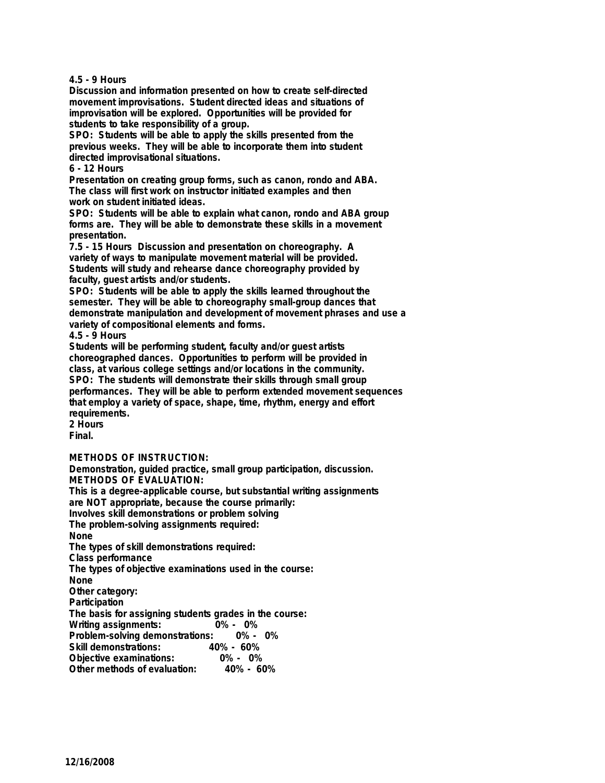**4.5 - 9 Hours**

**Discussion and information presented on how to create self-directed movement improvisations. Student directed ideas and situations of improvisation will be explored. Opportunities will be provided for students to take responsibility of a group.**

**SPO: Students will be able to apply the skills presented from the previous weeks. They will be able to incorporate them into student directed improvisational situations.**

**6 - 12 Hours**

**Presentation on creating group forms, such as canon, rondo and ABA. The class will first work on instructor initiated examples and then work on student initiated ideas.**

**SPO: Students will be able to explain what canon, rondo and ABA group forms are. They will be able to demonstrate these skills in a movement presentation.**

**7.5 - 15 Hours Discussion and presentation on choreography. A variety of ways to manipulate movement material will be provided. Students will study and rehearse dance choreography provided by faculty, guest artists and/or students.**

**SPO: Students will be able to apply the skills learned throughout the semester. They will be able to choreography small-group dances that demonstrate manipulation and development of movement phrases and use a variety of compositional elements and forms.**

**4.5 - 9 Hours**

**Students will be performing student, faculty and/or guest artists choreographed dances. Opportunities to perform will be provided in class, at various college settings and/or locations in the community. SPO: The students will demonstrate their skills through small group performances. They will be able to perform extended movement sequences that employ a variety of space, shape, time, rhythm, energy and effort requirements.**

**2 Hours Final.**

**METHODS OF INSTRUCTION:**

**Demonstration, guided practice, small group participation, discussion. METHODS OF EVALUATION:**

**This is a degree-applicable course, but substantial writing assignments are NOT appropriate, because the course primarily:**

**Involves skill demonstrations or problem solving**

**The problem-solving assignments required:**

**None**

**The types of skill demonstrations required:**

**Class performance**

**The types of objective examinations used in the course:**

**None**

**Other category:**

**Participation**

**The basis for assigning students grades in the course:**

**Writing assignments:** 

**Problem-solving demonstrations: 0% - 0%**

**Skill demonstrations: 40% - 60%**

**Objective examinations: 0% - 0% Other methods of evaluation:**